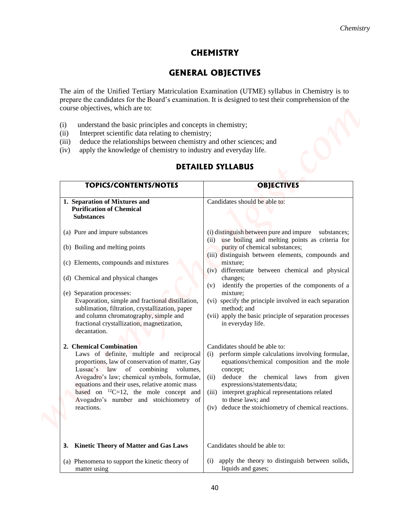# **CHEMISTRY**

# **GENERAL OBJECTIVES**

The aim of the Unified Tertiary Matriculation Examination (UTME) syllabus in Chemistry is to prepare the candidates for the Board's examination. It is designed to test their comprehension of the course objectives, which are to:

- (i) understand the basic principles and concepts in chemistry;
- (ii) Interpret scientific data relating to chemistry;
- (iii) deduce the relationships between chemistry and other sciences; and
- (iv) apply the knowledge of chemistry to industry and everyday life.

## **TOPICS/CONTENTS/NOTES OBJECTIVES 1. Separation of Mixtures and Purification of Chemical Substances** (a) Pure and impure substances (b) Boiling and melting points (c) Elements, compounds and mixtures (d) Chemical and physical changes (e) Separation processes: Evaporation, simple and fractional distillation, sublimation, filtration, crystallization, paper and column chromatography, simple and fractional crystallization, magnetization, decantation. **2. Chemical Combination** Laws of definite, multiple and reciprocal proportions, law of conservation of matter, Gay Lussac's law of combining volumes, Avogadro's law; chemical symbols, formulae, equations and their uses, relative atomic mass based on  $^{12}C=12$ , the mole concept and Avogadro's number and stoichiometry of reactions. **3. Kinetic Theory of Matter and Gas Laws** (a) Phenomena to support the kinetic theory of matter using Candidates should be able to: (i) distinguish between pure and impure substances; (ii) use boiling and melting points as criteria for purity of chemical substances; (iii) distinguish between elements, compounds and mixture; (iv) differentiate between chemical and physical changes; (v) identify the properties of the components of a mixture; (vi) specify the principle involved in each separation method; and (vii) apply the basic principle of separation processes in everyday life. Candidates should be able to: (i) perform simple calculations involving formulae, equations/chemical composition and the mole concept; (ii) deduce the chemical laws from given expressions/statements/data; (iii) interpret graphical representations related to these laws; and (iv) deduce the stoichiometry of chemical reactions. Candidates should be able to: (i) apply the theory to distinguish between solids, liquids and gases; **Chemistry Chemistry**<br> **CHEMISTRY CHEMISTRY (CHEMISTRY CHEMISTRY CHEMISTRY CONTRIGUES)**<br> **The aim of the United Testary Materialization Locations (UP) and points in Chemistry is the points of Society Association (UP) and t**

## **DETAILED SYLLABUS**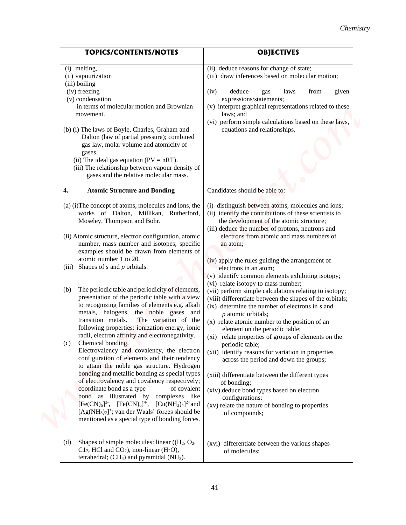| <b>TOPICS/CONTENTS/NOTES</b> |                                                                                                                                 | <b>OBJECTIVES</b>                                                                             |
|------------------------------|---------------------------------------------------------------------------------------------------------------------------------|-----------------------------------------------------------------------------------------------|
| (i) melting,                 |                                                                                                                                 | (ii) deduce reasons for change of state;                                                      |
| (ii) vapourization           |                                                                                                                                 | (iii) draw inferences based on molecular motion;                                              |
| (iii) boiling                |                                                                                                                                 |                                                                                               |
| (iv) freezing                |                                                                                                                                 | deduce<br>(iv)<br>from<br>given<br>laws<br>gas                                                |
| (v) condensation             |                                                                                                                                 | expressions/statements;                                                                       |
|                              | in terms of molecular motion and Brownian                                                                                       | (v) interpret graphical representations related to these<br>laws; and                         |
| movement.                    |                                                                                                                                 | (vi) perform simple calculations based on these laws,                                         |
|                              | (b) (i) The laws of Boyle, Charles, Graham and                                                                                  | equations and relationships.                                                                  |
|                              | Dalton (law of partial pressure); combined                                                                                      |                                                                                               |
|                              | gas law, molar volume and atomicity of                                                                                          |                                                                                               |
| gases.                       | (ii) The ideal gas equation ( $PV = nRT$ ).                                                                                     |                                                                                               |
|                              | (iii) The relationship between vapour density of                                                                                |                                                                                               |
|                              | gases and the relative molecular mass.                                                                                          |                                                                                               |
| 4.                           | <b>Atomic Structure and Bonding</b>                                                                                             | Candidates should be able to:                                                                 |
|                              | (a) (i) The concept of atoms, molecules and ions, the                                                                           | (i) distinguish between atoms, molecules and ions;                                            |
|                              | works of Dalton, Millikan, Rutherford,                                                                                          | (ii) identify the contributions of these scientists to                                        |
| Moseley, Thompson and Bohr.  |                                                                                                                                 | the development of the atomic structure;                                                      |
|                              |                                                                                                                                 | (iii) deduce the number of protons, neutrons and                                              |
|                              | (ii) Atomic structure, electron configuration, atomic<br>number, mass number and isotopes; specific                             | electrons from atomic and mass numbers of<br>an atom;                                         |
|                              | examples should be drawn from elements of                                                                                       |                                                                                               |
|                              | atomic number 1 to 20.                                                                                                          | (iv) apply the rules guiding the arrangement of                                               |
| (iii)                        | Shapes of $s$ and $p$ orbitals.                                                                                                 | electrons in an atom;                                                                         |
|                              |                                                                                                                                 | (v) identify common elements exhibiting isotopy;                                              |
| (b)                          | The periodic table and periodicity of elements,                                                                                 | (vi) relate isotopy to mass number;<br>(vii) perform simple calculations relating to isotopy; |
|                              | presentation of the periodic table with a view                                                                                  | (viii) differentiate between the shapes of the orbitals;                                      |
|                              | to recognizing families of elements e.g. alkali                                                                                 | $(ix)$ determine the number of electrons in s and                                             |
| transition metals.           | metals, halogens, the noble gases and<br>The variation of the                                                                   | $p$ atomic orbitals;                                                                          |
|                              | following properties: ionization energy, ionic                                                                                  | (x) relate atomic number to the position of an                                                |
|                              | radii, electron affinity and electronegativity.                                                                                 | element on the periodic table;<br>(xi) relate properties of groups of elements on the         |
| Chemical bonding.<br>(c)     |                                                                                                                                 | periodic table;                                                                               |
|                              | Electrovalency and covalency, the electron                                                                                      | (xii) identify reasons for variation in properties                                            |
|                              | configuration of elements and their tendency<br>to attain the noble gas structure. Hydrogen                                     | across the period and down the groups;                                                        |
|                              | bonding and metallic bonding as special types                                                                                   | (xiii) differentiate between the different types                                              |
|                              | of electrovalency and covalency respectively;                                                                                   | of bonding;                                                                                   |
|                              | coordinate bond as a type<br>of covalent                                                                                        | (xiv) deduce bond types based on electron                                                     |
|                              | bond as illustrated by complexes like<br>$[Fe(CN)6]$ <sup>3-</sup> , $[Fe(CN)6]$ <sup>4-</sup> , $[Cu(NH3)4]$ <sup>2+</sup> and | configurations;                                                                               |
|                              | $[Ag(NH3)2]+$ ; van der Waals' forces should be                                                                                 | (xv) relate the nature of bonding to properties<br>of compounds;                              |
|                              | mentioned as a special type of bonding forces.                                                                                  |                                                                                               |
|                              |                                                                                                                                 |                                                                                               |
| (d)                          | Shapes of simple molecules: linear $((H_2, O_2,$                                                                                | (xvi) differentiate between the various shapes                                                |
|                              | $C12$ , HCl and CO <sub>2</sub> ), non-linear (H <sub>2</sub> O),                                                               | of molecules;                                                                                 |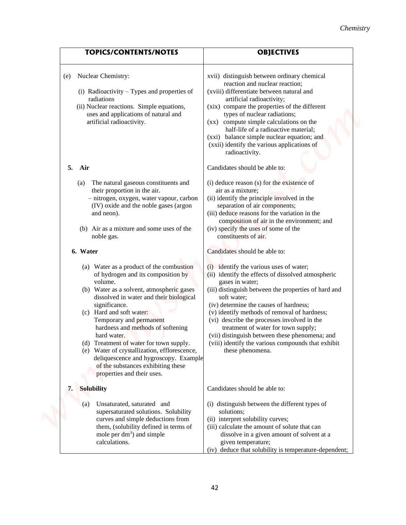## *Chemistry*

| <b>TOPICS/CONTENTS/NOTES</b>                                                                                                                                                                                                                                                                                                                                                                                                                                                                                          | <b>OBJECTIVES</b>                                                                                                                                                                                                                                                                                                                                                                                                                                                                                   |
|-----------------------------------------------------------------------------------------------------------------------------------------------------------------------------------------------------------------------------------------------------------------------------------------------------------------------------------------------------------------------------------------------------------------------------------------------------------------------------------------------------------------------|-----------------------------------------------------------------------------------------------------------------------------------------------------------------------------------------------------------------------------------------------------------------------------------------------------------------------------------------------------------------------------------------------------------------------------------------------------------------------------------------------------|
| Nuclear Chemistry:<br>(e)<br>(i) Radioactivity - Types and properties of                                                                                                                                                                                                                                                                                                                                                                                                                                              | xvii) distinguish between ordinary chemical<br>reaction and nuclear reaction;<br>(xviii) differentiate between natural and                                                                                                                                                                                                                                                                                                                                                                          |
| radiations<br>(ii) Nuclear reactions. Simple equations,<br>uses and applications of natural and<br>artificial radioactivity.                                                                                                                                                                                                                                                                                                                                                                                          | artificial radioactivity;<br>(xix) compare the properties of the different<br>types of nuclear radiations;<br>compute simple calculations on the<br>$(\mathbf{X}\mathbf{X})$<br>half-life of a radioactive material;<br>(xxi) balance simple nuclear equation; and<br>(xxii) identify the various applications of<br>radioactivity.                                                                                                                                                                 |
| 5. Air                                                                                                                                                                                                                                                                                                                                                                                                                                                                                                                | Candidates should be able to:                                                                                                                                                                                                                                                                                                                                                                                                                                                                       |
| The natural gaseous constituents and<br>(a)<br>their proportion in the air.<br>- nitrogen, oxygen, water vapour, carbon<br>(IV) oxide and the noble gases (argon<br>and neon).<br>(b) Air as a mixture and some uses of the<br>noble gas.                                                                                                                                                                                                                                                                             | (i) deduce reason (s) for the existence of<br>air as a mixture;<br>(ii) identify the principle involved in the<br>separation of air components;<br>(iii) deduce reasons for the variation in the<br>composition of air in the environment; and<br>(iv) specify the uses of some of the<br>constituents of air.                                                                                                                                                                                      |
| 6. Water                                                                                                                                                                                                                                                                                                                                                                                                                                                                                                              | Candidates should be able to:                                                                                                                                                                                                                                                                                                                                                                                                                                                                       |
| (a) Water as a product of the combustion<br>of hydrogen and its composition by<br>volume.<br>(b) Water as a solvent, atmospheric gases<br>dissolved in water and their biological<br>significance.<br>(c) Hard and soft water:<br>Temporary and permanent<br>hardness and methods of softening<br>hard water.<br>(d) Treatment of water for town supply.<br>(e) Water of crystallization, efflorescence,<br>deliquescence and hygroscopy. Example<br>of the substances exhibiting these<br>properties and their uses. | (i) identify the various uses of water;<br>(ii) identify the effects of dissolved atmospheric<br>gases in water;<br>(iii) distinguish between the properties of hard and<br>soft water;<br>(iv) determine the causes of hardness;<br>(v) identify methods of removal of hardness;<br>(vi) describe the processes involved in the<br>treatment of water for town supply;<br>(vii) distinguish between these phenomena; and<br>(viii) identify the various compounds that exhibit<br>these phenomena. |
| Solubility<br>7.                                                                                                                                                                                                                                                                                                                                                                                                                                                                                                      | Candidates should be able to:                                                                                                                                                                                                                                                                                                                                                                                                                                                                       |
| Unsaturated, saturated and<br>(a)<br>supersaturated solutions. Solubility<br>curves and simple deductions from<br>them, (solubility defined in terms of<br>mole per $dm^3$ ) and simple<br>calculations.                                                                                                                                                                                                                                                                                                              | (i) distinguish between the different types of<br>solutions;<br>(ii) interpret solubility curves;<br>(iii) calculate the amount of solute that can<br>dissolve in a given amount of solvent at a<br>given temperature;<br>(iv) deduce that solubility is temperature-dependent;                                                                                                                                                                                                                     |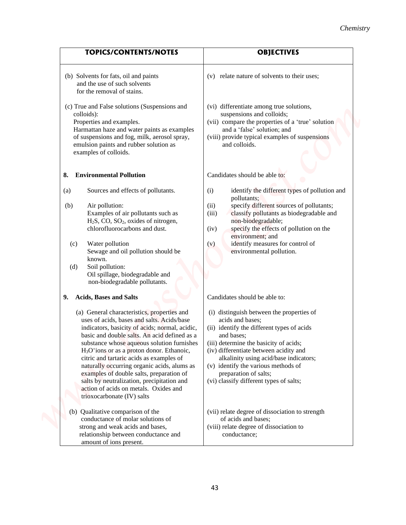|                                                                                                                                                                                                                                                                                                                                                                                                                                                        | Chemistry                                                                                                                                                                                                                                                                                                            |
|--------------------------------------------------------------------------------------------------------------------------------------------------------------------------------------------------------------------------------------------------------------------------------------------------------------------------------------------------------------------------------------------------------------------------------------------------------|----------------------------------------------------------------------------------------------------------------------------------------------------------------------------------------------------------------------------------------------------------------------------------------------------------------------|
| <b>TOPICS/CONTENTS/NOTES</b>                                                                                                                                                                                                                                                                                                                                                                                                                           | <b>OBJECTIVES</b>                                                                                                                                                                                                                                                                                                    |
| (b) Solvents for fats, oil and paints<br>and the use of such solvents<br>for the removal of stains.                                                                                                                                                                                                                                                                                                                                                    | (v) relate nature of solvents to their uses;                                                                                                                                                                                                                                                                         |
| (c) True and False solutions (Suspensions and<br>colloids):<br>Properties and examples.<br>Harmattan haze and water paints as examples<br>of suspensions and fog, milk, aerosol spray,<br>emulsion paints and rubber solution as<br>examples of colloids.                                                                                                                                                                                              | (vi) differentiate among true solutions,<br>suspensions and colloids;<br>(vii) compare the properties of a 'true' solution<br>and a 'false' solution; and<br>(viii) provide typical examples of suspensions<br>and colloids.                                                                                         |
| <b>Environmental Pollution</b><br>8.                                                                                                                                                                                                                                                                                                                                                                                                                   | Candidates should be able to:                                                                                                                                                                                                                                                                                        |
| Sources and effects of pollutants.<br>(a)<br>Air pollution:<br>(b)<br>Examples of air pollutants such as<br>H <sub>2</sub> S, CO, SO <sub>2</sub> , oxides of nitrogen,<br>chlorofluorocarbons and dust.<br>Water pollution<br>(c)                                                                                                                                                                                                                     | identify the different types of pollution and<br>(i)<br>pollutants;<br>specify different sources of pollutants;<br>(ii)<br>classify pollutants as biodegradable and<br>(iii)<br>non-biodegradable;<br>specify the effects of pollution on the<br>(iv)<br>environment; and<br>identify measures for control of<br>(v) |
| Sewage and oil pollution should be<br>known.<br>Soil pollution:<br>(d)<br>Oil spillage, biodegradable and<br>non-biodegradable pollutants.                                                                                                                                                                                                                                                                                                             | environmental pollution.                                                                                                                                                                                                                                                                                             |
| <b>Acids, Bases and Salts</b><br>9.<br>(a) General characteristics, properties and<br>uses of acids, bases and salts. Acids/base                                                                                                                                                                                                                                                                                                                       | Candidates should be able to:<br>(i) distinguish between the properties of<br>acids and bases;                                                                                                                                                                                                                       |
| indicators, basicity of acids; normal, acidic,<br>basic and double salts. An acid defined as a<br>substance whose aqueous solution furnishes<br>$H3O+ions$ or as a proton donor. Ethanoic,<br>citric and tartaric acids as examples of<br>naturally occurring organic acids, alums as<br>examples of double salts, preparation of<br>salts by neutralization, precipitation and<br>action of acids on metals. Oxides and<br>trioxocarbonate (IV) salts | (ii) identify the different types of acids<br>and bases;<br>(iii) determine the basicity of acids;<br>(iv) differentiate between acidity and<br>alkalinity using acid/base indicators;<br>(v) identify the various methods of<br>preparation of salts;<br>(vi) classify different types of salts;                    |
| (b) Qualitative comparison of the<br>conductance of molar solutions of<br>strong and weak acids and bases,<br>relationship between conductance and<br>amount of ions present.                                                                                                                                                                                                                                                                          | (vii) relate degree of dissociation to strength<br>of acids and bases;<br>(viii) relate degree of dissociation to<br>conductance;                                                                                                                                                                                    |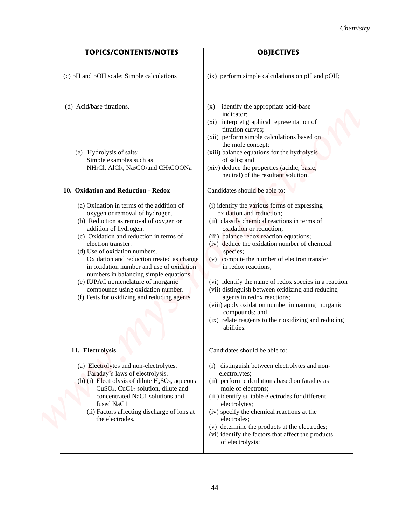| <b>TOPICS/CONTENTS/NOTES</b>                                                                                                                                                                                                                                                                                                                                                                                                                                                                                   | <b>OBJECTIVES</b>                                                                                                                                                                                                                                                                                                                                                                                                                                                                                                                                                                                                        |  |
|----------------------------------------------------------------------------------------------------------------------------------------------------------------------------------------------------------------------------------------------------------------------------------------------------------------------------------------------------------------------------------------------------------------------------------------------------------------------------------------------------------------|--------------------------------------------------------------------------------------------------------------------------------------------------------------------------------------------------------------------------------------------------------------------------------------------------------------------------------------------------------------------------------------------------------------------------------------------------------------------------------------------------------------------------------------------------------------------------------------------------------------------------|--|
| (c) pH and pOH scale; Simple calculations                                                                                                                                                                                                                                                                                                                                                                                                                                                                      | (ix) perform simple calculations on pH and pOH;                                                                                                                                                                                                                                                                                                                                                                                                                                                                                                                                                                          |  |
| (d) Acid/base titrations.                                                                                                                                                                                                                                                                                                                                                                                                                                                                                      | identify the appropriate acid-base<br>(X)<br>indicator;<br>interpret graphical representation of<br>(xi)<br>titration curves;<br>(xii) perform simple calculations based on                                                                                                                                                                                                                                                                                                                                                                                                                                              |  |
| (e) Hydrolysis of salts:<br>Simple examples such as<br>NH <sub>4</sub> Cl, AlCl <sub>3</sub> , Na <sub>2</sub> CO <sub>3</sub> and CH <sub>3</sub> COONa                                                                                                                                                                                                                                                                                                                                                       | the mole concept;<br>(xiii) balance equations for the hydrolysis<br>of salts; and<br>(xiv) deduce the properties (acidic, basic,<br>neutral) of the resultant solution.                                                                                                                                                                                                                                                                                                                                                                                                                                                  |  |
| 10. Oxidation and Reduction - Redox                                                                                                                                                                                                                                                                                                                                                                                                                                                                            | Candidates should be able to:                                                                                                                                                                                                                                                                                                                                                                                                                                                                                                                                                                                            |  |
| (a) Oxidation in terms of the addition of<br>oxygen or removal of hydrogen.<br>(b) Reduction as removal of oxygen or<br>addition of hydrogen.<br>(c) Oxidation and reduction in terms of<br>electron transfer.<br>(d) Use of oxidation numbers.<br>Oxidation and reduction treated as change<br>in oxidation number and use of oxidation<br>numbers in balancing simple equations.<br>(e) IUPAC nomenclature of inorganic<br>compounds using oxidation number.<br>(f) Tests for oxidizing and reducing agents. | (i) identify the various forms of expressing<br>oxidation and reduction;<br>(ii) classify chemical reactions in terms of<br>oxidation or reduction;<br>(iii) balance redox reaction equations;<br>(iv) deduce the oxidation number of chemical<br>species;<br>(v) compute the number of electron transfer<br>in redox reactions;<br>(vi) identify the name of redox species in a reaction<br>(vii) distinguish between oxidizing and reducing<br>agents in redox reactions;<br>(viii) apply oxidation number in naming inorganic<br>compounds; and<br>(ix) relate reagents to their oxidizing and reducing<br>abilities. |  |
| 11. Electrolysis<br>(a) Electrolytes and non-electrolytes.<br>Faraday's laws of electrolysis.<br>(b) (i) Electrolysis of dilute $H_2SO_4$ , aqueous<br>$CuSO4, CuCl2 solution, dilute and$<br>concentrated NaC1 solutions and<br>fused NaC1<br>(ii) Factors affecting discharge of ions at<br>the electrodes.                                                                                                                                                                                                  | Candidates should be able to:<br>distinguish between electrolytes and non-<br>(i)<br>electrolytes;<br>(ii) perform calculations based on faraday as<br>mole of electrons;<br>(iii) identify suitable electrodes for different<br>electrolytes;<br>(iv) specify the chemical reactions at the<br>electrodes;<br>(v) determine the products at the electrodes;<br>(vi) identify the factors that affect the products<br>of electrolysis;                                                                                                                                                                                   |  |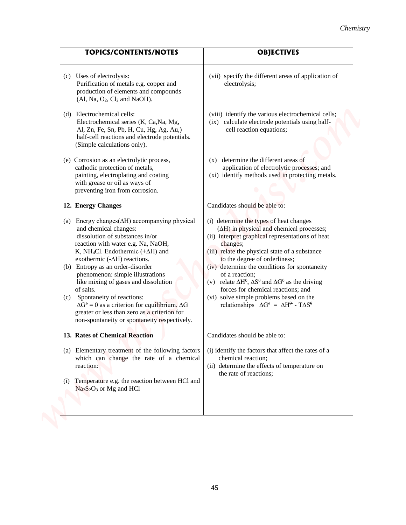| <b>TOPICS/CONTENTS/NOTES</b>                                                                                                                                                                                                                                                                                                                                                                                                                                                                                                                                                              | <b>OBJECTIVES</b>                                                                                                                                                                                                                                                                                                                                                                                                                                                                                                                                                              |
|-------------------------------------------------------------------------------------------------------------------------------------------------------------------------------------------------------------------------------------------------------------------------------------------------------------------------------------------------------------------------------------------------------------------------------------------------------------------------------------------------------------------------------------------------------------------------------------------|--------------------------------------------------------------------------------------------------------------------------------------------------------------------------------------------------------------------------------------------------------------------------------------------------------------------------------------------------------------------------------------------------------------------------------------------------------------------------------------------------------------------------------------------------------------------------------|
| (c) Uses of electrolysis:<br>Purification of metals e.g. copper and<br>production of elements and compounds<br>$(Al, Na, O2, Cl2 and NaOH).$                                                                                                                                                                                                                                                                                                                                                                                                                                              | (vii) specify the different areas of application of<br>electrolysis;                                                                                                                                                                                                                                                                                                                                                                                                                                                                                                           |
| (d) Electrochemical cells:<br>Electrochemical series (K, Ca, Na, Mg,<br>Al, Zn, Fe, Sn, Pb, H, Cu, Hg, Ag, Au,)<br>half-cell reactions and electrode potentials.<br>(Simple calculations only).                                                                                                                                                                                                                                                                                                                                                                                           | (viii) identify the various electrochemical cells;<br>calculate electrode potentials using half-<br>(ix)<br>cell reaction equations;                                                                                                                                                                                                                                                                                                                                                                                                                                           |
| (e) Corrosion as an electrolytic process,<br>cathodic protection of metals,<br>painting, electroplating and coating<br>with grease or oil as ways of<br>preventing iron from corrosion.                                                                                                                                                                                                                                                                                                                                                                                                   | determine the different areas of<br>(X)<br>application of electrolytic processes; and<br>(xi) identify methods used in protecting metals.                                                                                                                                                                                                                                                                                                                                                                                                                                      |
| 12. Energy Changes                                                                                                                                                                                                                                                                                                                                                                                                                                                                                                                                                                        | Candidates should be able to:                                                                                                                                                                                                                                                                                                                                                                                                                                                                                                                                                  |
| (a) Energy changes $(\Delta H)$ accompanying physical<br>and chemical changes:<br>dissolution of substances in/or<br>reaction with water e.g. Na, NaOH,<br>K, NH <sub>4</sub> Cl. Endothermic $(+\Delta H)$ and<br>exothermic $(-\Delta H)$ reactions.<br>(b) Entropy as an order-disorder<br>phenomenon: simple illustrations<br>like mixing of gases and dissolution<br>of salts.<br>(c) Spontaneity of reactions:<br>$\Delta G^{\circ} = 0$ as a criterion for equilibrium, $\Delta G$<br>greater or less than zero as a criterion for<br>non-spontaneity or spontaneity respectively. | (i) determine the types of heat changes<br>$(\Delta H)$ in physical and chemical processes;<br>(ii) interpret graphical representations of heat<br>changes;<br>(iii) relate the physical state of a substance<br>to the degree of orderliness;<br>(iv) determine the conditions for spontaneity<br>of a reaction;<br>(v) relate $\Delta H^{\theta}$ , $\Delta S^{\theta}$ and $\Delta G^{\theta}$ as the driving<br>forces for chemical reactions; and<br>(vi) solve simple problems based on the<br>relationships $\Delta G^{\circ} = \Delta H^{\circ}$ - $T\Delta S^{\circ}$ |
| 13. Rates of Chemical Reaction                                                                                                                                                                                                                                                                                                                                                                                                                                                                                                                                                            | Candidates should be able to:                                                                                                                                                                                                                                                                                                                                                                                                                                                                                                                                                  |
| (a) Elementary treatment of the following factors<br>which can change the rate of a chemical<br>reaction:<br>Temperature e.g. the reaction between HCl and<br>(1)<br>$Na2S2O3$ or Mg and HCl                                                                                                                                                                                                                                                                                                                                                                                              | (i) identify the factors that affect the rates of a<br>chemical reaction;<br>(ii) determine the effects of temperature on<br>the rate of reactions;                                                                                                                                                                                                                                                                                                                                                                                                                            |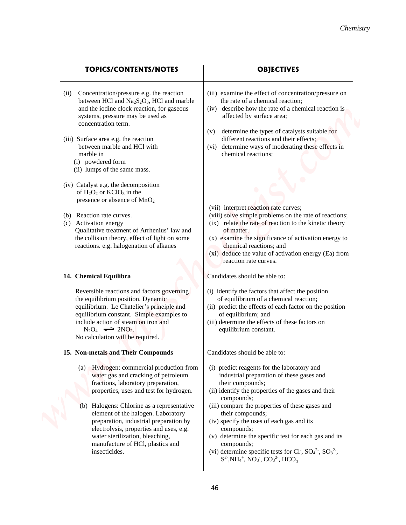|                                                                                                                                                                                                                                                                                 | Chemistry                                                                                                                                                                                                                                                                                          |
|---------------------------------------------------------------------------------------------------------------------------------------------------------------------------------------------------------------------------------------------------------------------------------|----------------------------------------------------------------------------------------------------------------------------------------------------------------------------------------------------------------------------------------------------------------------------------------------------|
|                                                                                                                                                                                                                                                                                 |                                                                                                                                                                                                                                                                                                    |
| <b>TOPICS/CONTENTS/NOTES</b>                                                                                                                                                                                                                                                    | <b>OBJECTIVES</b>                                                                                                                                                                                                                                                                                  |
| Concentration/pressure e.g. the reaction<br>(i)<br>between HCl and $Na2S2O3$ , HCl and marble<br>and the iodine clock reaction, for gaseous<br>systems, pressure may be used as<br>concentration term.                                                                          | (iii) examine the effect of concentration/pressure on<br>the rate of a chemical reaction;<br>describe how the rate of a chemical reaction is<br>(iv)<br>affected by surface area;<br>determine the types of catalysts suitable for                                                                 |
| (iii) Surface area e.g. the reaction<br>between marble and HCl with<br>marble in<br>(i) powdered form<br>(ii) lumps of the same mass.                                                                                                                                           | (v)<br>different reactions and their effects;<br>determine ways of moderating these effects in<br>(vi)<br>chemical reactions;                                                                                                                                                                      |
| (iv) Catalyst e.g. the decomposition<br>of $H_2O_2$ or $KClO_3$ in the<br>presence or absence of MnO <sub>2</sub>                                                                                                                                                               | (vii) interpret reaction rate curves;                                                                                                                                                                                                                                                              |
| (b) Reaction rate curves.<br>(c) Activation energy<br>Qualitative treatment of Arrhenius' law and<br>the collision theory, effect of light on some<br>reactions. e.g. halogenation of alkanes                                                                                   | (viii) solve simple problems on the rate of reactions;<br>(ix) relate the rate of reaction to the kinetic theory<br>of matter.<br>(x) examine the significance of activation energy to<br>chemical reactions; and<br>(xi) deduce the value of activation energy (Ea) from<br>reaction rate curves. |
| 14. Chemical Equilibra                                                                                                                                                                                                                                                          | Candidates should be able to:                                                                                                                                                                                                                                                                      |
| Reversible reactions and factors governing<br>the equilibrium position. Dynamic<br>equilibrium. Le Chatelier's principle and<br>equilibrium constant. Simple examples to<br>include action of steam on iron and<br>$N_2O_4 \implies 2NO_2.$<br>No calculation will be required. | (i) identify the factors that affect the position<br>of equilibrium of a chemical reaction;<br>(ii) predict the effects of each factor on the position<br>of equilibrium; and<br>(iii) determine the effects of these factors on<br>equilibrium constant.                                          |
| 15. Non-metals and Their Compounds                                                                                                                                                                                                                                              | Candidates should be able to:                                                                                                                                                                                                                                                                      |
| Hydrogen: commercial production from<br>(a)<br>water gas and cracking of petroleum<br>fractions, laboratory preparation,<br>properties, uses and test for hydrogen.                                                                                                             | (i) predict reagents for the laboratory and<br>industrial preparation of these gases and<br>their compounds;<br>(ii) identify the properties of the gases and their<br>compounds;                                                                                                                  |
| (b) Halogens: Chlorine as a representative<br>element of the halogen. Laboratory<br>preparation, industrial preparation by<br>electrolysis, properties and uses, e.g.<br>water sterilization, bleaching,<br>manufacture of HCl, plastics and                                    | (iii) compare the properties of these gases and<br>their compounds;<br>(iv) specify the uses of each gas and its<br>compounds;<br>(v) determine the specific test for each gas and its<br>compounds;                                                                                               |
| insecticides.                                                                                                                                                                                                                                                                   | (vi) determine specific tests for Cl, $SO_4^2$ , $SO_3^2$ ,<br>$S^2$ , NH <sub>4</sub> <sup>+</sup> , NO <sub>3</sub> <sup>-</sup> , CO <sub>3</sub> <sup>2</sup> <sup>-</sup> , HCO <sub>3</sub>                                                                                                  |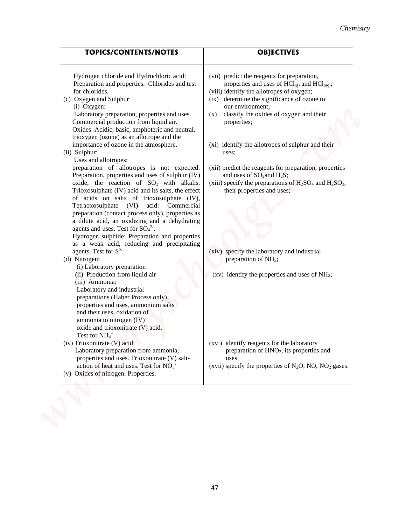| <b>TOPICS/CONTENTS/NOTES</b>                                                                                                                                                                                                                                                                                                                                                                                                                                                                       | <b>OBJECTIVES</b>                                                                                                                                                                                              |
|----------------------------------------------------------------------------------------------------------------------------------------------------------------------------------------------------------------------------------------------------------------------------------------------------------------------------------------------------------------------------------------------------------------------------------------------------------------------------------------------------|----------------------------------------------------------------------------------------------------------------------------------------------------------------------------------------------------------------|
| Hydrogen chloride and Hydrochloric acid:<br>Preparation and properties. Chlorides and test<br>for chlorides.<br>(c) Oxygen and Sulphur                                                                                                                                                                                                                                                                                                                                                             | (vii) predict the reagents for preparation,<br>properties and uses of $\text{HCl}_{(g)}$ and $\text{HCl}_{(aq)}$ ;<br>(viii) identify the allotropes of oxygen;<br>(ix) determine the significance of ozone to |
| (i) Oxygen:<br>Laboratory preparation, properties and uses.<br>Commercial production from liquid air.<br>Oxides: Acidic, basic, amphoteric and neutral,<br>trioxygen (ozone) as an allotrope and the                                                                                                                                                                                                                                                                                               | our environment;<br>classify the oxides of oxygen and their<br>(x)<br>properties;                                                                                                                              |
| importance of ozone in the atmosphere.<br>(ii) Sulphur:<br>Uses and allotropes:<br>preparation of allotropes is not expected.                                                                                                                                                                                                                                                                                                                                                                      | (xi) identify the allotropes of sulphur and their<br>uses;<br>(xii) predict the reagents for preparation, properties                                                                                           |
| Preparation, properties and uses of sulphur (IV)<br>oxide, the reaction of SO <sub>2</sub> with alkalis.<br>Trioxosulphate (IV) acid and its salts, the effect<br>of acids on salts of trioxosulphate (IV),<br>Tetraoxosulphate (VI) acid: Commercial<br>preparation (contact process only), properties as<br>a dilute acid, an oxidizing and a dehydrating<br>agents and uses. Test for $SO_4^2$ .<br>Hydrogen sulphide: Preparation and properties<br>as a weak acid, reducing and precipitating | and uses of $SO_2$ and $H_2S$ ;<br>(xiii) specify the preparations of $H_2SO_4$ and $H_2SO_3$ ,<br>their properties and uses;                                                                                  |
| agents. Test for $S^2$<br>(d) Nitrogen:<br>(i) Laboratory preparation                                                                                                                                                                                                                                                                                                                                                                                                                              | (xiv) specify the laboratory and industrial<br>preparation of NH <sub>3</sub> ;                                                                                                                                |
| (ii) Production from liquid air<br>(iii) Ammonia:<br>Laboratory and industrial<br>preparations (Haber Process only),<br>properties and uses, ammonium salts<br>and their uses, oxidation of<br>ammonia to nitrogen (IV)<br>oxide and trioxonitrate (V) acid.<br>Test for NH <sub>4</sub> <sup>+</sup>                                                                                                                                                                                              | $(xv)$ identify the properties and uses of NH <sub>3</sub> ;                                                                                                                                                   |
| (iv) Trioxonitrate (V) acid:<br>Laboratory preparation from ammonia;<br>properties and uses. Trioxonitrate (V) salt-<br>action of heat and uses. Test for NO <sub>3</sub> <sup>-</sup><br>(v) Oxides of nitrogen: Properties.                                                                                                                                                                                                                                                                      | (xvi) identify reagents for the laboratory<br>preparation of HNO <sub>3</sub> , its properties and<br>uses;<br>(xvii) specify the properties of $N_2O$ , NO, NO <sub>2</sub> gases.                            |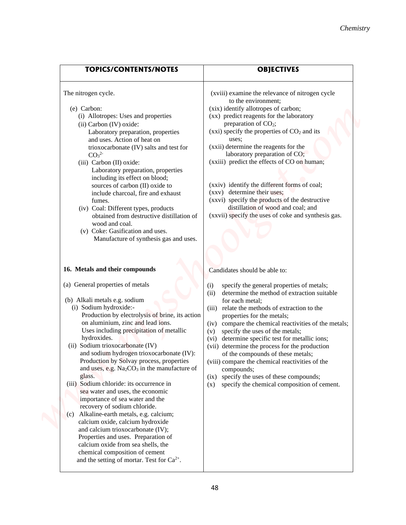| <b>TOPICS/CONTENTS/NOTES</b><br><b>OBJECTIVES</b><br>The nitrogen cycle.<br>(xviii) examine the relevance of nitrogen cycle<br>to the environment;<br>(e) Carbon:<br>(xix) identify allotropes of carbon;<br>(xx) predict reagents for the laboratory<br>(i) Allotropes: Uses and properties<br>preparation of $CO2$ ;<br>(ii) Carbon (IV) oxide:<br>(xxi) specify the properties of $CO2$ and its<br>Laboratory preparation, properties<br>and uses. Action of heat on<br>uses:<br>(xxii) determine the reagents for the<br>trioxocarbonate (IV) salts and test for<br>laboratory preparation of CO;<br>CO <sub>3</sub> <sup>2</sup><br>(xxiii) predict the effects of CO on human;<br>(iii) Carbon (II) oxide:<br>Laboratory preparation, properties<br>including its effect on blood;<br>(xxiv) identify the different forms of coal;<br>sources of carbon (II) oxide to<br>(xxv) determine their uses;<br>include charcoal, fire and exhaust<br>(xxvi) specify the products of the destructive<br>fumes.<br>distillation of wood and coal; and<br>(iv) Coal: Different types, products<br>(xxvii) specify the uses of coke and synthesis gas.<br>obtained from destructive distillation of<br>wood and coal.<br>(v) Coke: Gasification and uses.<br>Manufacture of synthesis gas and uses. |
|------------------------------------------------------------------------------------------------------------------------------------------------------------------------------------------------------------------------------------------------------------------------------------------------------------------------------------------------------------------------------------------------------------------------------------------------------------------------------------------------------------------------------------------------------------------------------------------------------------------------------------------------------------------------------------------------------------------------------------------------------------------------------------------------------------------------------------------------------------------------------------------------------------------------------------------------------------------------------------------------------------------------------------------------------------------------------------------------------------------------------------------------------------------------------------------------------------------------------------------------------------------------------------------------|
|                                                                                                                                                                                                                                                                                                                                                                                                                                                                                                                                                                                                                                                                                                                                                                                                                                                                                                                                                                                                                                                                                                                                                                                                                                                                                                |
|                                                                                                                                                                                                                                                                                                                                                                                                                                                                                                                                                                                                                                                                                                                                                                                                                                                                                                                                                                                                                                                                                                                                                                                                                                                                                                |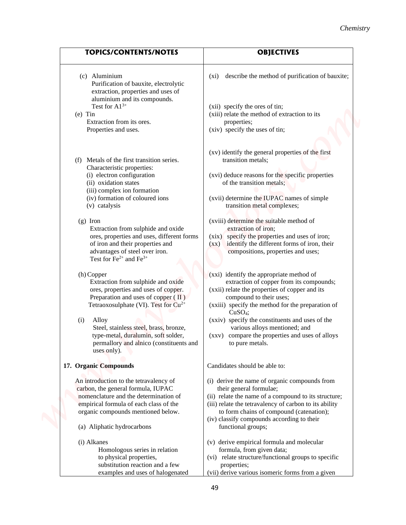|                                                                                                                                                                                                                        | Chemistry                                                                                                                                                                                                                                                                            |
|------------------------------------------------------------------------------------------------------------------------------------------------------------------------------------------------------------------------|--------------------------------------------------------------------------------------------------------------------------------------------------------------------------------------------------------------------------------------------------------------------------------------|
|                                                                                                                                                                                                                        |                                                                                                                                                                                                                                                                                      |
| <b>TOPICS/CONTENTS/NOTES</b>                                                                                                                                                                                           | <b>OBJECTIVES</b>                                                                                                                                                                                                                                                                    |
| (c) Aluminium<br>Purification of bauxite, electrolytic<br>extraction, properties and uses of<br>aluminium and its compounds.                                                                                           | describe the method of purification of bauxite;<br>$(x_i)$                                                                                                                                                                                                                           |
| Test for $Al^{3+}$<br>$(e)$ Tin                                                                                                                                                                                        | (xii) specify the ores of tin;<br>(xiii) relate the method of extraction to its                                                                                                                                                                                                      |
| Extraction from its ores.<br>Properties and uses.                                                                                                                                                                      | properties;<br>(xiv) specify the uses of tin;                                                                                                                                                                                                                                        |
| Metals of the first transition series.<br>(f)                                                                                                                                                                          | (xv) identify the general properties of the first<br>transition metals;                                                                                                                                                                                                              |
| Characteristic properties:<br>(i) electron configuration<br>(ii) oxidation states                                                                                                                                      | (xvi) deduce reasons for the specific properties<br>of the transition metals;                                                                                                                                                                                                        |
| (iii) complex ion formation<br>(iv) formation of coloured ions<br>(v) catalysis                                                                                                                                        | (xvii) determine the IUPAC names of simple<br>transition metal complexes;                                                                                                                                                                                                            |
| $(g)$ Iron<br>Extraction from sulphide and oxide<br>ores, properties and uses, different forms<br>of iron and their properties and<br>advantages of steel over iron.<br>Test for $\text{Fe}^{2+}$ and $\text{Fe}^{3+}$ | (xviii) determine the suitable method of<br>extraction of iron;<br>specify the properties and uses of iron;<br>(xix)<br>identify the different forms of iron, their<br>$(\mathbf{X}\mathbf{X})$<br>compositions, properties and uses;                                                |
| (h) Copper<br>Extraction from sulphide and oxide<br>ores, properties and uses of copper.<br>Preparation and uses of copper $(\Pi)$<br>Tetraoxosulphate (VI). Test for Cu <sup>2+</sup>                                 | (xxi) identify the appropriate method of<br>extraction of copper from its compounds;<br>(xxii) relate the properties of copper and its<br>compound to their uses;<br>(xxiii) specify the method for the preparation of<br>CuSO <sub>4</sub> ;                                        |
| Alloy<br>(i)<br>Steel, stainless steel, brass, bronze,<br>type-metal, duralumin, soft solder,<br>permallory and alnico (constituents and<br>uses only).                                                                | (xxiv) specify the constituents and uses of the<br>various alloys mentioned; and<br>(xxv) compare the properties and uses of alloys<br>to pure metals.                                                                                                                               |
| 17. Organic Compounds                                                                                                                                                                                                  | Candidates should be able to:                                                                                                                                                                                                                                                        |
| An introduction to the tetravalency of<br>carbon, the general formula, IUPAC<br>nomenclature and the determination of<br>empirical formula of each class of the<br>organic compounds mentioned below.                  | (i) derive the name of organic compounds from<br>their general formulae;<br>(ii) relate the name of a compound to its structure;<br>(iii) relate the tetravalency of carbon to its ability<br>to form chains of compound (catenation);<br>(iv) classify compounds according to their |
| (a) Aliphatic hydrocarbons                                                                                                                                                                                             | functional groups;                                                                                                                                                                                                                                                                   |
| (i) Alkanes<br>Homologous series in relation<br>to physical properties,<br>substitution reaction and a few                                                                                                             | (v) derive empirical formula and molecular<br>formula, from given data;<br>(vi) relate structure/functional groups to specific<br>properties;                                                                                                                                        |
| examples and uses of halogenated                                                                                                                                                                                       | (vii) derive various isomeric forms from a given                                                                                                                                                                                                                                     |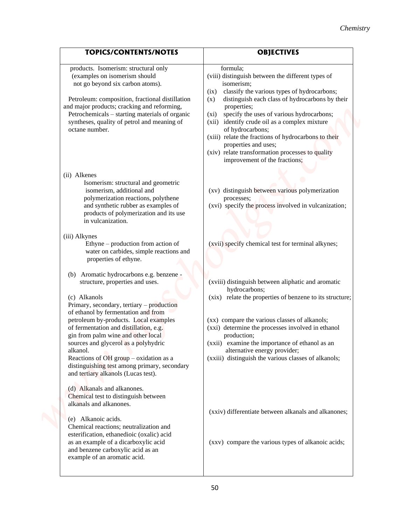|                                                                                                                                                                                                                                                                                                                                                     | Chemistry                                                                                                                                                                                                                                                                                                                                                                                                                                                                                                        |
|-----------------------------------------------------------------------------------------------------------------------------------------------------------------------------------------------------------------------------------------------------------------------------------------------------------------------------------------------------|------------------------------------------------------------------------------------------------------------------------------------------------------------------------------------------------------------------------------------------------------------------------------------------------------------------------------------------------------------------------------------------------------------------------------------------------------------------------------------------------------------------|
| <b>TOPICS/CONTENTS/NOTES</b>                                                                                                                                                                                                                                                                                                                        | <b>OBJECTIVES</b>                                                                                                                                                                                                                                                                                                                                                                                                                                                                                                |
| products. Isomerism: structural only<br>(examples on isomerism should<br>not go beyond six carbon atoms).<br>Petroleum: composition, fractional distillation<br>and major products; cracking and reforming,<br>Petrochemicals - starting materials of organic<br>syntheses, quality of petrol and meaning of<br>octane number.                      | formula;<br>(viii) distinguish between the different types of<br>isomerism;<br>classify the various types of hydrocarbons;<br>(ix)<br>distinguish each class of hydrocarbons by their<br>(x)<br>properties;<br>specify the uses of various hydrocarbons;<br>$(x_i)$<br>identify crude oil as a complex mixture<br>(xii)<br>of hydrocarbons;<br>(xiii) relate the fractions of hydrocarbons to their<br>properties and uses;<br>(xiv) relate transformation processes to quality<br>improvement of the fractions; |
| (ii) Alkenes<br>Isomerism: structural and geometric<br>isomerism, additional and<br>polymerization reactions, polythene<br>and synthetic rubber as examples of<br>products of polymerization and its use<br>in vulcanization.                                                                                                                       | (xv) distinguish between various polymerization<br>processes;<br>(xvi) specify the process involved in vulcanization;                                                                                                                                                                                                                                                                                                                                                                                            |
| (iii) Alkynes<br>Ethyne – production from action of<br>water on carbides, simple reactions and<br>properties of ethyne.                                                                                                                                                                                                                             | (xvii) specify chemical test for terminal alkynes;                                                                                                                                                                                                                                                                                                                                                                                                                                                               |
| (b) Aromatic hydrocarbons e.g. benzene -<br>structure, properties and uses.<br>(c) Alkanols<br>Primary, secondary, tertiary - production                                                                                                                                                                                                            | (xviii) distinguish between aliphatic and aromatic<br>hydrocarbons;<br>(xix) relate the properties of benzene to its structure;                                                                                                                                                                                                                                                                                                                                                                                  |
| of ethanol by fermentation and from<br>petroleum by-products. Local examples<br>of fermentation and distillation, e.g.<br>gin from palm wine and other local<br>sources and glycerol as a polyhydric<br>alkanol.<br>Reactions of OH group $-$ oxidation as a<br>distinguishing test among primary, secondary<br>and tertiary alkanols (Lucas test). | (xx) compare the various classes of alkanols;<br>(xxi) determine the processes involved in ethanol<br>production;<br>(xxii) examine the importance of ethanol as an<br>alternative energy provider;<br>(xxiii) distinguish the various classes of alkanols;                                                                                                                                                                                                                                                      |
| (d) Alkanals and alkanones.<br>Chemical test to distinguish between<br>alkanals and alkanones.<br>(e) Alkanoic acids.<br>Chemical reactions; neutralization and<br>esterification, ethanedioic (oxalic) acid                                                                                                                                        | (xxiv) differentiate between alkanals and alkanones;                                                                                                                                                                                                                                                                                                                                                                                                                                                             |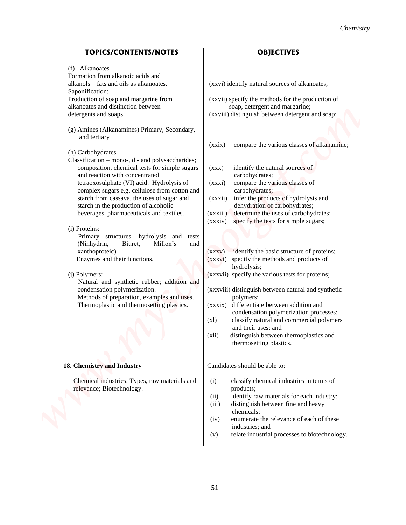|                                                                                                                                                                                                                                                                                                                                                                                                                                                                                                                                                                                                                                                                                                                                                                                                                                                                                                                                                                                                                                                    | Chemistry                                                                                                                                                                                                                                                                                                                                                                                                                                                                                                                                                                                                                                                                                                                                                                                                                                                                                                                                                                                                                                  |
|----------------------------------------------------------------------------------------------------------------------------------------------------------------------------------------------------------------------------------------------------------------------------------------------------------------------------------------------------------------------------------------------------------------------------------------------------------------------------------------------------------------------------------------------------------------------------------------------------------------------------------------------------------------------------------------------------------------------------------------------------------------------------------------------------------------------------------------------------------------------------------------------------------------------------------------------------------------------------------------------------------------------------------------------------|--------------------------------------------------------------------------------------------------------------------------------------------------------------------------------------------------------------------------------------------------------------------------------------------------------------------------------------------------------------------------------------------------------------------------------------------------------------------------------------------------------------------------------------------------------------------------------------------------------------------------------------------------------------------------------------------------------------------------------------------------------------------------------------------------------------------------------------------------------------------------------------------------------------------------------------------------------------------------------------------------------------------------------------------|
| <b>TOPICS/CONTENTS/NOTES</b>                                                                                                                                                                                                                                                                                                                                                                                                                                                                                                                                                                                                                                                                                                                                                                                                                                                                                                                                                                                                                       | <b>OBJECTIVES</b>                                                                                                                                                                                                                                                                                                                                                                                                                                                                                                                                                                                                                                                                                                                                                                                                                                                                                                                                                                                                                          |
| Alkanoates<br>(f)<br>Formation from alkanoic acids and<br>alkanols – fats and oils as alkanoates.<br>Saponification:<br>Production of soap and margarine from<br>alkanoates and distinction between<br>detergents and soaps.<br>(g) Amines (Alkanamines) Primary, Secondary,<br>and tertiary<br>(h) Carbohydrates<br>Classification - mono-, di- and polysaccharides;<br>composition, chemical tests for simple sugars<br>and reaction with concentrated<br>tetraoxosulphate (VI) acid. Hydrolysis of<br>complex sugars e.g. cellulose from cotton and<br>starch from cassava, the uses of sugar and<br>starch in the production of alcoholic<br>beverages, pharmaceuticals and textiles.<br>(i) Proteins:<br>Primary structures, hydrolysis and<br>tests<br>(Ninhydrin,<br>Biuret,<br>Millon's<br>and<br>xanthoproteic)<br>Enzymes and their functions.<br>(j) Polymers:<br>Natural and synthetic rubber; addition and<br>condensation polymerization.<br>Methods of preparation, examples and uses.<br>Thermoplastic and thermosetting plastics. | (xxvi) identify natural sources of alkanoates;<br>(xxvii) specify the methods for the production of<br>soap, detergent and margarine;<br>(xxviii) distinguish between detergent and soap;<br>compare the various classes of alkanamine;<br>(xxix)<br>identify the natural sources of<br>(XXX)<br>carbohydrates;<br>compare the various classes of<br>(xxxi)<br>carbohydrates;<br>infer the products of hydrolysis and<br>(xxxii)<br>dehydration of carbohydrates;<br>determine the uses of carbohydrates;<br>(xxxiii)<br>specify the tests for simple sugars;<br>(xxxiv)<br>identify the basic structure of proteins;<br>(xxxv)<br>(xxxvi) specify the methods and products of<br>hydrolysis;<br>(xxxvii) specify the various tests for proteins;<br>(xxxviii) distinguish between natural and synthetic<br>polymers;<br>(xxxix) differentiate between addition and<br>condensation polymerization processes;<br>classify natural and commercial polymers<br>(x)<br>and their uses; and<br>distinguish between thermoplastics and<br>(xli) |
|                                                                                                                                                                                                                                                                                                                                                                                                                                                                                                                                                                                                                                                                                                                                                                                                                                                                                                                                                                                                                                                    | thermosetting plastics.                                                                                                                                                                                                                                                                                                                                                                                                                                                                                                                                                                                                                                                                                                                                                                                                                                                                                                                                                                                                                    |
| 18. Chemistry and Industry<br>Chemical industries: Types, raw materials and<br>relevance; Biotechnology.                                                                                                                                                                                                                                                                                                                                                                                                                                                                                                                                                                                                                                                                                                                                                                                                                                                                                                                                           | Candidates should be able to:<br>classify chemical industries in terms of<br>(i)<br>products;<br>identify raw materials for each industry;<br>(ii)<br>distinguish between fine and heavy<br>(iii)<br>chemicals;                                                                                                                                                                                                                                                                                                                                                                                                                                                                                                                                                                                                                                                                                                                                                                                                                            |